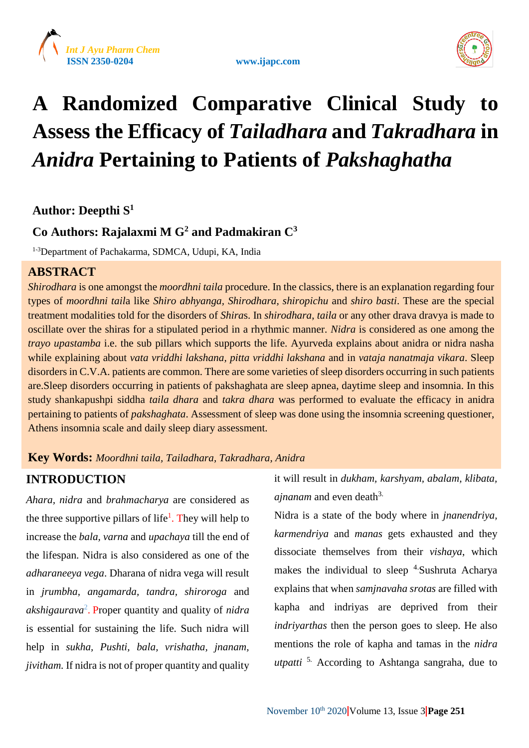





## **A Randomized Comparative Clinical Study to Assess the Efficacy of** *Tailadhara* **and** *Takradhara* **in**  *Anidra* **Pertaining to Patients of** *Pakshaghatha*

## **Author: Deepthi S 1**

## **Co Authors: Rajalaxmi M G<sup>2</sup> and Padmakiran C<sup>3</sup>**

1-3Department of Pachakarma, SDMCA, Udupi, KA, India

## **ABSTRACT**

*Shirodhara* is one amongst the *moordhni taila* procedure. In the classics, there is an explanation regarding four types of *moordhni tail*a like *Shiro abhyanga, Shirodhara, shiropichu* and *shiro basti*. These are the special treatment modalities told for the disorders of *Shira*s. In *shirodhara*, *taila* or any other drava dravya is made to oscillate over the shiras for a stipulated period in a rhythmic manner. *Nidra* is considered as one among the *trayo upastamba* i.e. the sub pillars which supports the life. Ayurveda explains about anidra or nidra nasha while explaining about *vata vriddhi lakshana, pitta vriddhi lakshana* and in *vataja nanatmaja vikara*. Sleep disorders in C.V.A. patients are common. There are some varieties of sleep disorders occurring in such patients are.Sleep disorders occurring in patients of pakshaghata are sleep apnea, daytime sleep and insomnia. In this study shankapushpi siddha *taila dhara* and *takra dhara* was performed to evaluate the efficacy in anidra pertaining to patients of *pakshaghata*. Assessment of sleep was done using the insomnia screening questioner, Athens insomnia scale and daily sleep diary assessment.

## **Key Words:** *Moordhni taila, Tailadhara, Takradhara, Anidra*

## **INTRODUCTION**

*Ahara, nidra* and *brahmacharya* are considered as the three supportive pillars of life<sup>1</sup>. They will help to increase the *bala, varna* and *upachaya* till the end of the lifespan. Nidra is also considered as one of the *adharaneeya vega*. Dharana of nidra vega will result in *jrumbha, angamarda, tandra, shiroroga* and *akshigaurava*<sup>2</sup> . Proper quantity and quality of *nidra* is essential for sustaining the life. Such nidra will help in *sukha, Pushti, bala, vrishatha, jnanam, jivitham.* If nidra is not of proper quantity and quality

it will result in *dukham, karshyam, abalam, klibata, ajnanam* and even death<sup>3</sup>

Nidra is a state of the body where in *jnanendriya, karmendriya* and *manas* gets exhausted and they dissociate themselves from their *vishaya*, which makes the individual to sleep  $4.$  Sushruta Acharya explains that when *samjnavaha srotas* are filled with kapha and indriyas are deprived from their *indriyarthas* then the person goes to sleep. He also mentions the role of kapha and tamas in the *nidra utpatti* 5. According to Ashtanga sangraha, due to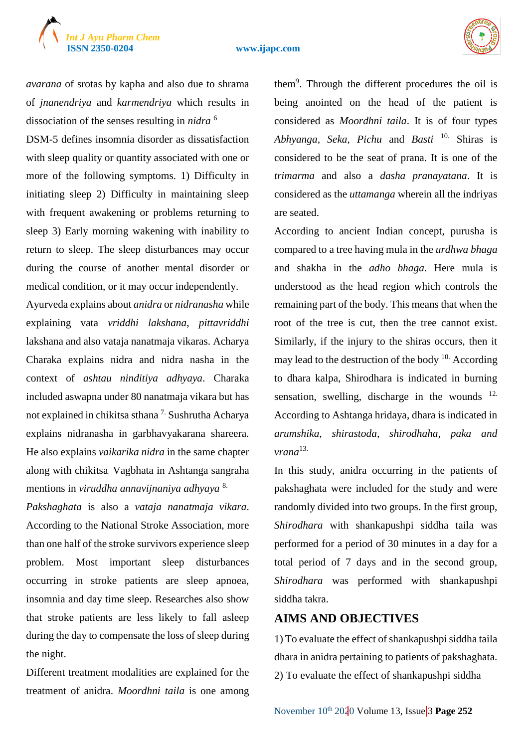# *Int J Ayu Pharm Chem*

#### **ISSN 2350-0204 www.ijapc.com**



*avarana* of srotas by kapha and also due to shrama of *jnanendriya* and *karmendriya* which results in dissociation of the senses resulting in *nidra* <sup>6</sup>

DSM-5 defines insomnia disorder as dissatisfaction with sleep quality or quantity associated with one or more of the following symptoms. 1) Difficulty in initiating sleep 2) Difficulty in maintaining sleep with frequent awakening or problems returning to sleep 3) Early morning wakening with inability to return to sleep. The sleep disturbances may occur during the course of another mental disorder or medical condition, or it may occur independently.

Ayurveda explains about *anidra* or *nidranasha* while explaining vata *vriddhi lakshana*, *pittavriddhi*  lakshana and also vataja nanatmaja vikaras. Acharya Charaka explains nidra and nidra nasha in the context of *ashtau ninditiya adhyaya*. Charaka included aswapna under 80 nanatmaja vikara but has not explained in chikitsa sthana 7. Sushrutha Acharya explains nidranasha in garbhavyakarana shareera. He also explains *vaikarika nidra* in the same chapter along with chikitsa. Vagbhata in Ashtanga sangraha mentions in *viruddha annavijnaniya adhyaya* 8.

*Pakshaghata* is also a *vataja nanatmaja vikara*. According to the National Stroke Association, more than one half of the stroke survivors experience sleep problem. Most important sleep disturbances occurring in stroke patients are sleep apnoea, insomnia and day time sleep. Researches also show that stroke patients are less likely to fall asleep during the day to compensate the loss of sleep during the night.

Different treatment modalities are explained for the treatment of anidra. *Moordhni taila* is one among

them<sup>9</sup> . Through the different procedures the oil is being anointed on the head of the patient is considered as *Moordhni taila*. It is of four types *Abhyanga, Seka, Pichu* and *Basti* 10. Shiras is considered to be the seat of prana. It is one of the *trimarma* and also a *dasha pranayatana*. It is considered as the *uttamanga* wherein all the indriyas are seated.

According to ancient Indian concept, purusha is compared to a tree having mula in the *urdhwa bhaga* and shakha in the *adho bhaga*. Here mula is understood as the head region which controls the remaining part of the body. This means that when the root of the tree is cut, then the tree cannot exist. Similarly, if the injury to the shiras occurs, then it may lead to the destruction of the body  $10$ . According to dhara kalpa, Shirodhara is indicated in burning sensation, swelling, discharge in the wounds  $12$ . According to Ashtanga hridaya, dhara is indicated in *arumshika, shirastoda, shirodhaha, paka and vrana*13.

In this study, anidra occurring in the patients of pakshaghata were included for the study and were randomly divided into two groups. In the first group, *Shirodhara* with shankapushpi siddha taila was performed for a period of 30 minutes in a day for a total period of 7 days and in the second group, *Shirodhara* was performed with shankapushpi siddha takra.

## **AIMS AND OBJECTIVES**

1) To evaluate the effect of shankapushpi siddha taila dhara in anidra pertaining to patients of pakshaghata. 2) To evaluate the effect of shankapushpi siddha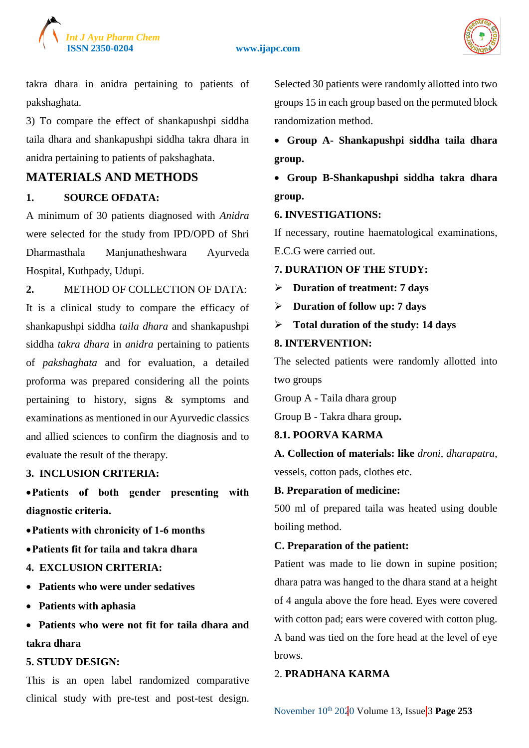

#### **ISSN 2350-0204 www.ijapc.com**



takra dhara in anidra pertaining to patients of pakshaghata.

3) To compare the effect of shankapushpi siddha taila dhara and shankapushpi siddha takra dhara in anidra pertaining to patients of pakshaghata.

## **MATERIALS AND METHODS**

## **1. SOURCE OFDATA:**

A minimum of 30 patients diagnosed with *Anidra*  were selected for the study from IPD/OPD of Shri Dharmasthala Manjunatheshwara Ayurveda Hospital, Kuthpady, Udupi.

**2.** METHOD OF COLLECTION OF DATA:

It is a clinical study to compare the efficacy of shankapushpi siddha *taila dhara* and shankapushpi siddha *takra dhara* in *anidra* pertaining to patients of *pakshaghata* and for evaluation, a detailed proforma was prepared considering all the points pertaining to history, signs & symptoms and examinations as mentioned in our Ayurvedic classics and allied sciences to confirm the diagnosis and to evaluate the result of the therapy.

## **3. INCLUSION CRITERIA:**

**Patients of both gender presenting with diagnostic criteria.**

- **Patients with chronicity of 1-6 months**
- **Patients fit for taila and takra dhara**
- **4. EXCLUSION CRITERIA:**
- **Patients who were under sedatives**
- **Patients with aphasia**
- **Patients who were not fit for taila dhara and takra dhara**

## **5. STUDY DESIGN:**

This is an open label randomized comparative clinical study with pre-test and post-test design. Selected 30 patients were randomly allotted into two groups 15 in each group based on the permuted block randomization method.

 **Group A- Shankapushpi siddha taila dhara group.**

 **Group B-Shankapushpi siddha takra dhara group.**

## **6. INVESTIGATIONS:**

If necessary, routine haematological examinations, E.C.G were carried out.

## **7. DURATION OF THE STUDY:**

**Duration of treatment: 7 days**

- **Duration of follow up: 7 days**
- **Total duration of the study: 14 days**

## **8. INTERVENTION:**

The selected patients were randomly allotted into two groups

Group A - Taila dhara group

Group B - Takra dhara group**.**

## **8.1. POORVA KARMA**

**A. Collection of materials: like** *droni, dharapatra*, vessels, cotton pads, clothes etc.

## **B. Preparation of medicine:**

500 ml of prepared taila was heated using double boiling method.

## **C. Preparation of the patient:**

Patient was made to lie down in supine position; dhara patra was hanged to the dhara stand at a height of 4 angula above the fore head. Eyes were covered with cotton pad; ears were covered with cotton plug. A band was tied on the fore head at the level of eye brows.

## 2. **PRADHANA KARMA**

November  $10^{th}$  2020 Volume 13, Issue 3 Page 253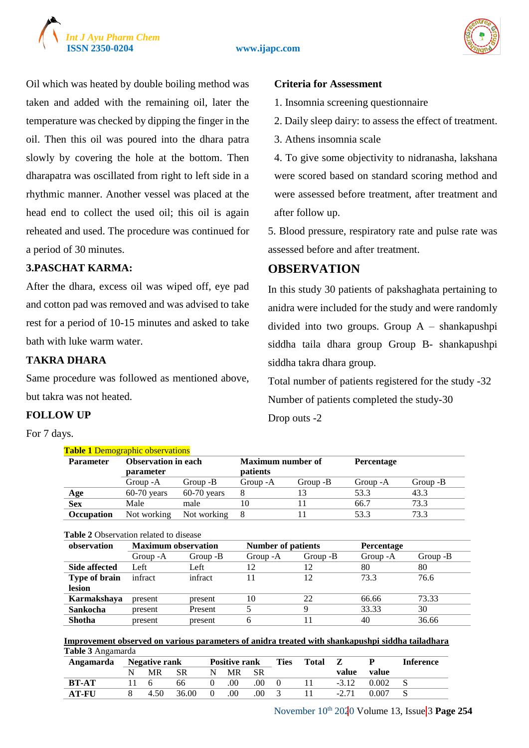



Oil which was heated by double boiling method was taken and added with the remaining oil, later the temperature was checked by dipping the finger in the oil. Then this oil was poured into the dhara patra slowly by covering the hole at the bottom. Then dharapatra was oscillated from right to left side in a rhythmic manner. Another vessel was placed at the head end to collect the used oil; this oil is again reheated and used. The procedure was continued for a period of 30 minutes.

## **3.PASCHAT KARMA:**

After the dhara, excess oil was wiped off, eye pad and cotton pad was removed and was advised to take rest for a period of 10-15 minutes and asked to take bath with luke warm water.

## **TAKRA DHARA**

Same procedure was followed as mentioned above, but takra was not heated.

## **FOLLOW UP**

For 7 days.

### **Criteria for Assessment**

1. Insomnia screening questionnaire

- 2. Daily sleep dairy: to assess the effect of treatment.
- 3. Athens insomnia scale

4. To give some objectivity to nidranasha, lakshana were scored based on standard scoring method and were assessed before treatment, after treatment and after follow up.

5. Blood pressure, respiratory rate and pulse rate was assessed before and after treatment.

## **OBSERVATION**

In this study 30 patients of pakshaghata pertaining to anidra were included for the study and were randomly divided into two groups. Group A – shankapushpi siddha taila dhara group Group B- shankapushpi siddha takra dhara group.

Total number of patients registered for the study -32 Number of patients completed the study-30 Drop outs -2

|                   | <b>Table 1 Demographic observations</b> |               |                          |          |                   |          |  |  |
|-------------------|-----------------------------------------|---------------|--------------------------|----------|-------------------|----------|--|--|
| <b>Parameter</b>  | <b>Observation in each</b>              |               | <b>Maximum number of</b> |          | <b>Percentage</b> |          |  |  |
|                   | parameter                               |               | <i>patients</i>          |          |                   |          |  |  |
|                   | Group - A                               | Group -B      | Group - A                | Group -B | Group - A         | Group -B |  |  |
| Age               | $60-70$ years                           | $60-70$ years |                          | 13       | 53.3              | 43.3     |  |  |
| <b>Sex</b>        | Male                                    | male          | 10                       |          | 66.7              | 73.3     |  |  |
| <b>Occupation</b> | Not working                             | Not working   |                          |          | 53.3              | 73.3     |  |  |
|                   |                                         |               |                          |          |                   |          |  |  |

#### **Table 2** Observation related to disease

| observation          | <b>Maximum observation</b> |          | <b>Number of patients</b> |          | <b>Percentage</b> |          |
|----------------------|----------------------------|----------|---------------------------|----------|-------------------|----------|
|                      | Group - A                  | Group -B | Group - A                 | Group -B | Group - A         | Group -B |
| Side affected        | Left                       | Left     | 12                        | 12       | 80                | 80       |
| <b>Type of brain</b> | infract                    | infract  | 11                        | 12       | 73.3              | 76.6     |
| lesion               |                            |          |                           |          |                   |          |
| Karmakshaya          | present                    | present  | 10                        | 22       | 66.66             | 73.33    |
| Sankocha             | present                    | Present  |                           | q        | 33.33             | 30       |
| <b>Shotha</b>        | present                    | present  | 6                         |          | 40                | 36.66    |

**Improvement observed on various parameters of anidra treated with shankapushpi siddha tailadhara Table 3** Angamarda

| Angamarda    | <b>Negative rank</b> |           |                  | <b>Positive rank</b> |      |   | <b>Total</b> |         |       | <b>Inference</b> |
|--------------|----------------------|-----------|------------------|----------------------|------|---|--------------|---------|-------|------------------|
|              | <b>MR</b>            | <b>SR</b> | N                | MR -                 | – SR |   |              | value   | value |                  |
| <b>BT-AT</b> | $\mathsf{h}$         | 66        |                  | .00                  | .00  | 0 |              | $-3.12$ | 0.002 |                  |
| <b>AT-FU</b> | 4.50                 | 36.00     | $\left( \right)$ | .00                  | .00  |   |              | $-2.71$ | 0.007 |                  |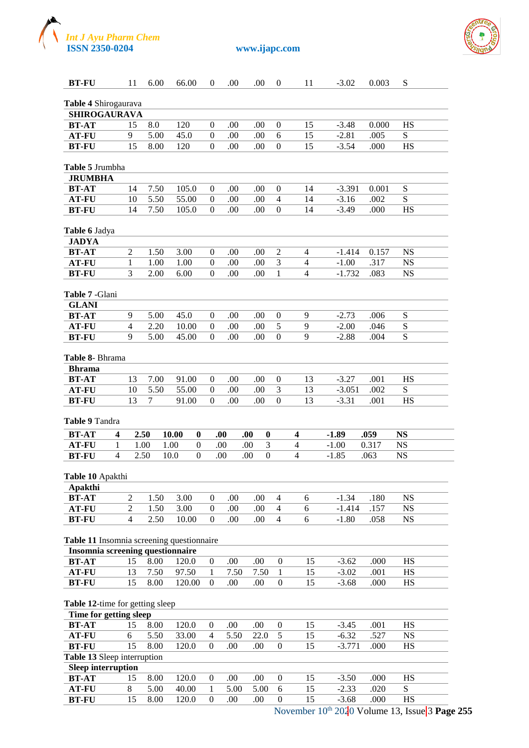



| <b>BT-FU</b>                                |                | 11                                 | 6.00         | 66.00          |                  | $\theta$                     | .00         | .00        |                  | $\boldsymbol{0}$                     |                         | 11             | $-3.02$             | 0.003        | S                      |  |
|---------------------------------------------|----------------|------------------------------------|--------------|----------------|------------------|------------------------------|-------------|------------|------------------|--------------------------------------|-------------------------|----------------|---------------------|--------------|------------------------|--|
|                                             |                |                                    |              |                |                  |                              |             |            |                  |                                      |                         |                |                     |              |                        |  |
| Table 4 Shirogaurava<br><b>SHIROGAURAVA</b> |                |                                    |              |                |                  |                              |             |            |                  |                                      |                         |                |                     |              |                        |  |
| <b>BT-AT</b>                                |                | 15                                 | 8.0          | 120            |                  | 0                            | .00         | .00        |                  | $\boldsymbol{0}$                     |                         | 15             | $-3.48$             | 0.000        | HS                     |  |
| <b>AT-FU</b>                                |                | 9                                  | 5.00         | 45.0           |                  | $\overline{0}$               | .00         | .00        |                  | 6                                    |                         | 15             | $-2.81$             | .005         | S                      |  |
| <b>BT-FU</b>                                |                | 15                                 | 8.00         | 120            |                  | $\boldsymbol{0}$             | .00         | .00        |                  | $\boldsymbol{0}$                     |                         | 15             | $-3.54$             | .000         | <b>HS</b>              |  |
|                                             |                |                                    |              |                |                  |                              |             |            |                  |                                      |                         |                |                     |              |                        |  |
| Table 5 Jrumbha                             |                |                                    |              |                |                  |                              |             |            |                  |                                      |                         |                |                     |              |                        |  |
| <b>JRUMBHA</b>                              |                |                                    |              |                |                  |                              |             |            |                  |                                      |                         |                |                     |              |                        |  |
| <b>BT-AT</b>                                |                | 14                                 | 7.50         | 105.0          |                  | 0                            | .00         | .00        |                  | $\boldsymbol{0}$                     |                         | 14             | $-3.391$            | 0.001        | S                      |  |
| <b>AT-FU</b>                                |                | 10                                 | 5.50         | 55.00          |                  | 0                            | .00         | .00        |                  | 4                                    |                         | 14             | $-3.16$             | .002         | S                      |  |
| <b>BT-FU</b>                                |                | 14                                 | 7.50         | 105.0          |                  | $\theta$                     | .00         | .00        |                  | $\boldsymbol{0}$                     |                         | 14             | $-3.49$             | .000         | HS                     |  |
|                                             |                |                                    |              |                |                  |                              |             |            |                  |                                      |                         |                |                     |              |                        |  |
| Table 6 Jadya                               |                |                                    |              |                |                  |                              |             |            |                  |                                      |                         |                |                     |              |                        |  |
| <b>JADYA</b>                                |                |                                    |              |                |                  |                              |             |            |                  |                                      |                         |                |                     |              |                        |  |
| <b>BT-AT</b>                                |                | $\overline{2}$                     | 1.50         | 3.00           |                  | 0                            | .00         | .00.       |                  | 2                                    |                         | 4              | $-1.414$            | 0.157        | <b>NS</b>              |  |
| <b>AT-FU</b>                                |                | 1                                  | 1.00         | 1.00           |                  | 0                            | .00         | .00        |                  | 3                                    |                         | $\overline{4}$ | $-1.00$             | .317         | <b>NS</b>              |  |
| <b>BT-FU</b>                                |                | 3                                  | 2.00         | 6.00           |                  | $\overline{0}$               | .00         | .00        |                  | $\mathbf{1}$                         |                         | $\overline{4}$ | $-1.732$            | .083         | <b>NS</b>              |  |
|                                             |                |                                    |              |                |                  |                              |             |            |                  |                                      |                         |                |                     |              |                        |  |
| Table 7 - Glani                             |                |                                    |              |                |                  |                              |             |            |                  |                                      |                         |                |                     |              |                        |  |
| <b>GLANI</b>                                |                |                                    |              |                |                  |                              |             |            |                  |                                      |                         |                |                     |              |                        |  |
| <b>BT-AT</b>                                |                | 9                                  | 5.00         | 45.0           |                  | $\overline{0}$               | .00         | .00        |                  | $\boldsymbol{0}$                     |                         | 9              | $-2.73$             | .006         | ${\bf S}$              |  |
| <b>AT-FU</b>                                |                | $\overline{4}$                     | 2.20         | 10.00          |                  | $\overline{0}$               | .00         | .00        |                  | $\mathfrak s$                        |                         | 9              | $-2.00$             | .046         | ${\bf S}$              |  |
| <b>BT-FU</b>                                |                | 9                                  | 5.00         | 45.00          |                  | $\theta$                     | .00         | .00        |                  | $\boldsymbol{0}$                     |                         | 9              | $-2.88$             | .004         | S                      |  |
| Table 8- Bhrama                             |                |                                    |              |                |                  |                              |             |            |                  |                                      |                         |                |                     |              |                        |  |
| <b>Bhrama</b>                               |                |                                    |              |                |                  |                              |             |            |                  |                                      |                         |                |                     |              |                        |  |
| <b>BT-AT</b>                                |                | 13                                 | 7.00         | 91.00          |                  | 0                            | .00         | .00        |                  | $\boldsymbol{0}$                     |                         | 13             | $-3.27$             | .001         | HS                     |  |
| <b>AT-FU</b>                                |                | 10                                 | 5.50         | 55.00          |                  | $\overline{0}$               | .00         | .00        |                  | $\mathfrak{Z}$                       |                         | 13             | $-3.051$            | .002         | ${\bf S}$              |  |
| <b>BT-FU</b>                                |                | 13                                 | 7            | 91.00          |                  | $\theta$                     | .00         | .00        |                  | $\boldsymbol{0}$                     |                         | 13             | $-3.31$             | .001         | <b>HS</b>              |  |
| Table 9 Tandra                              |                |                                    |              |                |                  |                              |             |            |                  |                                      |                         |                |                     |              |                        |  |
| <b>BT-AT</b>                                | 4              |                                    | 2.50         | 10.00          | $\bf{0}$         | .00.                         |             | .00        | $\bf{0}$         |                                      | 4                       |                | $-1.89$             | .059         | <b>NS</b>              |  |
| <b>AT-FU</b>                                | 1              |                                    | 1.00         | 1.00           | $\boldsymbol{0}$ | .00                          |             | .00        | $\mathfrak{Z}$   |                                      | $\overline{\mathbf{4}}$ |                | $-1.00$             | 0.317        | <b>NS</b>              |  |
| <b>BT-FU</b>                                | $\overline{4}$ |                                    | 2.50         | 10.0           | $\overline{0}$   | .00                          |             | .00        | $\boldsymbol{0}$ |                                      | $\overline{4}$          |                | $-1.85$             | .063         | <b>NS</b>              |  |
| Table 10 Apakthi                            |                |                                    |              |                |                  |                              |             |            |                  |                                      |                         |                |                     |              |                        |  |
| Apakthi                                     |                |                                    |              |                |                  |                              |             |            |                  |                                      |                         |                |                     |              |                        |  |
| <b>BT-AT</b>                                |                | $\mathfrak{2}$                     | 1.50         | 3.00           |                  | $\boldsymbol{0}$             | .00         | .00        |                  | 4                                    |                         | 6              | $-1.34$             | .180         | <b>NS</b>              |  |
| <b>AT-FU</b><br><b>BT-FU</b>                |                | $\boldsymbol{2}$<br>$\overline{4}$ | 1.50<br>2.50 | 3.00<br>10.00  |                  | $\mathbf{0}$<br>$\mathbf{0}$ | .00<br>.00  | .00<br>.00 |                  | $\overline{4}$<br>$\overline{4}$     |                         | 6<br>6         | $-1.414$<br>$-1.80$ | .157<br>.058 | <b>NS</b><br><b>NS</b> |  |
|                                             |                |                                    |              |                |                  |                              |             |            |                  |                                      |                         |                |                     |              |                        |  |
| Table 11 Insomnia screening questionnaire   |                |                                    |              |                |                  |                              |             |            |                  |                                      |                         |                |                     |              |                        |  |
| Insomnia screening questionnaire            |                |                                    |              |                |                  |                              |             |            |                  |                                      |                         |                |                     |              |                        |  |
| <b>BT-AT</b><br><b>AT-FU</b>                |                | 15<br>13                           | 8.00<br>7.50 | 120.0<br>97.50 |                  | $\boldsymbol{0}$<br>1        | .00<br>7.50 | .00        | 7.50             | $\boldsymbol{0}$<br>$\mathbf{1}$     |                         | 15<br>15       | $-3.62$<br>$-3.02$  | .000<br>.001 | <b>HS</b><br>HS        |  |
| <b>BT-FU</b>                                |                | 15                                 | 8.00         | 120.00         |                  | $\theta$                     | .00         | .00        |                  | $\boldsymbol{0}$                     |                         | 15             | $-3.68$             | .000         | HS                     |  |
|                                             |                |                                    |              |                |                  |                              |             |            |                  |                                      |                         |                |                     |              |                        |  |
| Table 12-time for getting sleep             |                |                                    |              |                |                  |                              |             |            |                  |                                      |                         |                |                     |              |                        |  |
| Time for getting sleep                      |                |                                    |              |                |                  |                              |             |            |                  |                                      |                         |                |                     |              |                        |  |
| <b>BT-AT</b>                                |                | 15                                 | 8.00         | 120.0          |                  | $\boldsymbol{0}$             | .00         | .00        |                  | $\boldsymbol{0}$                     |                         | 15             | $-3.45$             | .001         | <b>HS</b>              |  |
| <b>AT-FU</b>                                |                | 6                                  | 5.50         | 33.00          |                  | $\overline{4}$               | 5.50        |            | 22.0             | $\mathfrak s$                        |                         | 15             | $-6.32$             | .527         | <b>NS</b>              |  |
| <b>BT-FU</b>                                |                | 15                                 | 8.00         | 120.0          |                  | $\boldsymbol{0}$             | .00         | .00        |                  | $\boldsymbol{0}$                     |                         | 15             | $-3.771$            | .000         | HS                     |  |
| Table 13 Sleep interruption                 |                |                                    |              |                |                  |                              |             |            |                  |                                      |                         |                |                     |              |                        |  |
| <b>Sleep interruption</b>                   |                |                                    |              |                |                  |                              |             |            |                  |                                      |                         |                |                     |              |                        |  |
| <b>BT-AT</b>                                |                | 15                                 | 8.00         | 120.0          |                  | $\boldsymbol{0}$             | .00         | .00        |                  | $\boldsymbol{0}$                     |                         | 15             | $-3.50$             | .000         | <b>HS</b>              |  |
| <b>AT-FU</b><br><b>BT-FU</b>                |                | 8<br>15                            | 5.00<br>8.00 | 40.00<br>120.0 |                  | 1<br>$\boldsymbol{0}$        | 5.00<br>.00 | .00        | 5.00             | $\boldsymbol{6}$<br>$\boldsymbol{0}$ |                         | 15<br>15       | $-2.33$<br>$-3.68$  | .020<br>.000 | ${\bf S}$<br>HS        |  |
|                                             |                |                                    |              |                |                  |                              |             |            |                  |                                      |                         |                |                     |              |                        |  |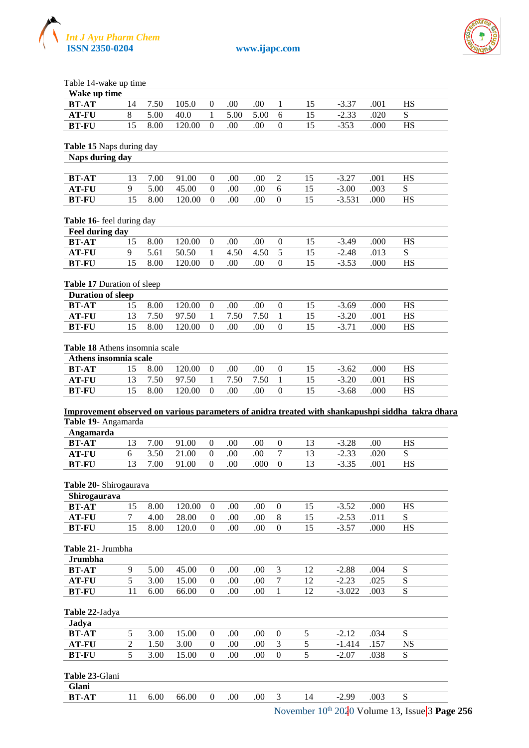



Table 14-wake up time

| Wake up time                                                                                                                          |    |      |        |                  |      |      |                  |                |          |      |           |
|---------------------------------------------------------------------------------------------------------------------------------------|----|------|--------|------------------|------|------|------------------|----------------|----------|------|-----------|
| <b>BT-AT</b>                                                                                                                          | 14 | 7.50 | 105.0  | $\boldsymbol{0}$ | .00  | .00  | $\mathbf{1}$     | 15             | $-3.37$  | .001 | <b>HS</b> |
| <b>AT-FU</b>                                                                                                                          | 8  | 5.00 | 40.0   | $\mathbf{1}$     | 5.00 | 5.00 | 6                | 15             | $-2.33$  | .020 | S         |
| <b>BT-FU</b>                                                                                                                          | 15 | 8.00 | 120.00 | $\mathbf{0}$     | .00  | .00  | $\Omega$         | 15             | $-353$   | .000 | <b>HS</b> |
| Table 15 Naps during day                                                                                                              |    |      |        |                  |      |      |                  |                |          |      |           |
| Naps during day                                                                                                                       |    |      |        |                  |      |      |                  |                |          |      |           |
| <b>BT-AT</b>                                                                                                                          | 13 | 7.00 | 91.00  | $\boldsymbol{0}$ | .00  | .00  | $\overline{2}$   | 15             | $-3.27$  | .001 | HS        |
| <b>AT-FU</b>                                                                                                                          | 9  | 5.00 | 45.00  | $\boldsymbol{0}$ | .00  | .00  | $\overline{6}$   | 15             | $-3.00$  | .003 | S         |
| <b>BT-FU</b>                                                                                                                          | 15 | 8.00 | 120.00 | $\mathbf{0}$     | .00  | .00  | $\Omega$         | 15             | $-3.531$ | .000 | HS        |
| Table 16- feel during day                                                                                                             |    |      |        |                  |      |      |                  |                |          |      |           |
| Feel during day                                                                                                                       |    |      |        |                  |      |      |                  |                |          |      |           |
| <b>BT-AT</b>                                                                                                                          | 15 | 8.00 | 120.00 | $\boldsymbol{0}$ | .00  | .00  | $\boldsymbol{0}$ | 15             | $-3.49$  | .000 | <b>HS</b> |
| <b>AT-FU</b>                                                                                                                          | 9  | 5.61 | 50.50  | $\mathbf{1}$     | 4.50 | 4.50 | 5                | 15             | $-2.48$  | .013 | S         |
| <b>BT-FU</b>                                                                                                                          | 15 | 8.00 | 120.00 | $\mathbf{0}$     | .00. | .00  | $\Omega$         | 15             | $-3.53$  | .000 | <b>HS</b> |
| Table 17 Duration of sleep                                                                                                            |    |      |        |                  |      |      |                  |                |          |      |           |
| <b>Duration of sleep</b>                                                                                                              |    |      |        |                  |      |      |                  |                |          |      |           |
| <b>BT-AT</b>                                                                                                                          | 15 | 8.00 | 120.00 | $\boldsymbol{0}$ | .00  | .00  | $\mathbf{0}$     | 15             | $-3.69$  | .000 | HS        |
| <b>AT-FU</b>                                                                                                                          | 13 | 7.50 | 97.50  | $\mathbf{1}$     | 7.50 | 7.50 | $\mathbf{1}$     | 15             | $-3.20$  | .001 | HS        |
| <b>BT-FU</b>                                                                                                                          | 15 | 8.00 | 120.00 | $\mathbf{0}$     | .00  | .00  | $\mathbf{0}$     | 15             | $-3.71$  | .000 | HS        |
| Table 18 Athens insomnia scale                                                                                                        |    |      |        |                  |      |      |                  |                |          |      |           |
| Athens insomnia scale                                                                                                                 |    |      |        |                  |      |      |                  |                |          |      |           |
| <b>BT-AT</b>                                                                                                                          | 15 | 8.00 | 120.00 | $\boldsymbol{0}$ | .00  | .00  | $\theta$         | 15             | $-3.62$  | .000 | HS        |
| <b>AT-FU</b>                                                                                                                          | 13 | 7.50 | 97.50  | $\mathbf{1}$     | 7.50 | 7.50 | $\mathbf{1}$     | 15             | $-3.20$  | .001 | HS        |
| <b>BT-FU</b>                                                                                                                          | 15 | 8.00 | 120.00 | $\mathbf{0}$     | .00  | .00  | $\mathbf{0}$     | 15             | $-3.68$  | .000 | <b>HS</b> |
| Improvement observed on various parameters of anidra treated with shankapushpi siddha takra dhara<br>Table 19- Angamarda<br>Angamarda |    |      |        |                  |      |      |                  |                |          |      |           |
| <b>BT-AT</b>                                                                                                                          | 13 | 7.00 | 91.00  | $\theta$         | .00  | .00  | $\mathbf{0}$     | 13             | $-3.28$  | .00. | HS        |
| <b>AT-FU</b>                                                                                                                          | 6  | 3.50 | 21.00  | $\boldsymbol{0}$ | .00  | .00  | $\tau$           | 13             | $-2.33$  | .020 | S         |
| <b>BT-FU</b>                                                                                                                          | 13 | 7.00 | 91.00  | $\boldsymbol{0}$ | .00  | .000 | $\boldsymbol{0}$ | 13             | $-3.35$  | .001 | HS        |
| Table 20- Shirogaurava                                                                                                                |    |      |        |                  |      |      |                  |                |          |      |           |
| Shirogaurava                                                                                                                          |    |      |        |                  |      |      |                  |                |          |      |           |
| <b>BT-AT</b>                                                                                                                          | 15 | 8.00 | 120.00 | $\boldsymbol{0}$ | .00  | .00  | $\mathbf{0}$     | 15             | $-3.52$  | .000 | HS        |
| <b>AT-FU</b>                                                                                                                          | 7  | 4.00 | 28.00  | $\boldsymbol{0}$ | .00  | .00  | $\,8\,$          | 15             | $-2.53$  | .011 | S         |
| <b>BT-FU</b>                                                                                                                          | 15 | 8.00 | 120.0  | $\mathbf{0}$     | .00  | .00  | $\boldsymbol{0}$ | 15             | $-3.57$  | .000 | <b>HS</b> |
| Table 21- Jrumbha                                                                                                                     |    |      |        |                  |      |      |                  |                |          |      |           |
| <b>Jrumbha</b>                                                                                                                        |    |      |        |                  |      |      |                  |                |          |      |           |
| <b>BT-AT</b>                                                                                                                          | 9  | 5.00 | 45.00  | $\boldsymbol{0}$ | .00  | .00  | 3                | 12             | $-2.88$  | .004 | S         |
| <b>AT-FU</b>                                                                                                                          | 5  | 3.00 | 15.00  | $\boldsymbol{0}$ | .00  | .00  | 7                | 12             | $-2.23$  | .025 | S         |
| <b>BT-FU</b>                                                                                                                          | 11 | 6.00 | 66.00  | $\mathbf{0}$     | .00  | .00  | $\mathbf{1}$     | 12             | $-3.022$ | .003 | ${\bf S}$ |
| Table 22-Jadya                                                                                                                        |    |      |        |                  |      |      |                  |                |          |      |           |
| Jadya                                                                                                                                 |    |      |        |                  |      |      |                  |                |          |      |           |
| <b>BT-AT</b>                                                                                                                          | 5  | 3.00 | 15.00  | $\boldsymbol{0}$ | .00  | .00  | $\boldsymbol{0}$ | $\mathfrak s$  | $-2.12$  | .034 | S         |
| <b>AT-FU</b>                                                                                                                          | 2  | 1.50 | 3.00   | $\boldsymbol{0}$ | .00  | .00  | 3                | $\mathfrak s$  | $-1.414$ | .157 | <b>NS</b> |
| <b>BT-FU</b>                                                                                                                          | 5  | 3.00 | 15.00  | $\mathbf{0}$     | .00  | .00  | $\boldsymbol{0}$ | $\overline{5}$ | $-2.07$  | .038 | S         |
| Table 23-Glani                                                                                                                        |    |      |        |                  |      |      |                  |                |          |      |           |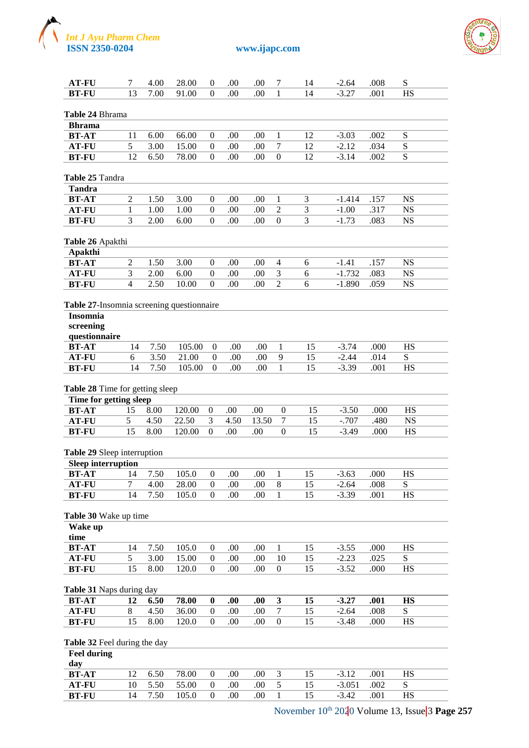



| <b>AT-FU</b>                              | 7              | 4.00         | 28.00  | 0                | .00     | .00   | 7                | 14 | $-2.64$  | .008 | S         |  |
|-------------------------------------------|----------------|--------------|--------|------------------|---------|-------|------------------|----|----------|------|-----------|--|
| <b>BT-FU</b>                              | 13             | 7.00         | 91.00  | $\Omega$         | .00     | .00   | $\mathbf{1}$     | 14 | $-3.27$  | .001 | <b>HS</b> |  |
|                                           |                |              |        |                  |         |       |                  |    |          |      |           |  |
| Table 24 Bhrama                           |                |              |        |                  |         |       |                  |    |          |      |           |  |
| <b>Bhrama</b>                             |                |              |        |                  |         |       |                  |    |          |      |           |  |
| <b>BT-AT</b>                              | 11             | 6.00         | 66.00  | 0                | .00     | .00.  | 1                | 12 | $-3.03$  | .002 | S         |  |
|                                           |                |              |        |                  |         |       |                  |    |          |      |           |  |
| <b>AT-FU</b>                              | 5              | 3.00         | 15.00  | $\mathbf{0}$     | .00     | .00   | 7                | 12 | $-2.12$  | .034 | ${\bf S}$ |  |
| <b>BT-FU</b>                              | 12             | 6.50         | 78.00  | $\Omega$         | .00     | .00   | $\mathbf{0}$     | 12 | $-3.14$  | .002 | ${\bf S}$ |  |
|                                           |                |              |        |                  |         |       |                  |    |          |      |           |  |
| Table 25 Tandra                           |                |              |        |                  |         |       |                  |    |          |      |           |  |
| Tandra                                    |                |              |        |                  |         |       |                  |    |          |      |           |  |
| <b>BT-AT</b>                              | $\overline{c}$ | 1.50         | 3.00   | $\boldsymbol{0}$ | .00     | .00.  | 1                | 3  | $-1.414$ | .157 | <b>NS</b> |  |
| <b>AT-FU</b>                              | 1              | 1.00         | 1.00   | $\mathbf{0}$     | .00     | .00   | $\overline{2}$   | 3  | $-1.00$  | .317 | <b>NS</b> |  |
| <b>BT-FU</b>                              | 3              | 2.00         | 6.00   | $\Omega$         | .00     | .00   | $\boldsymbol{0}$ | 3  | $-1.73$  | .083 | <b>NS</b> |  |
|                                           |                |              |        |                  |         |       |                  |    |          |      |           |  |
|                                           |                |              |        |                  |         |       |                  |    |          |      |           |  |
| Table 26 Apakthi                          |                |              |        |                  |         |       |                  |    |          |      |           |  |
| Apakthi                                   |                |              |        |                  |         |       |                  |    |          |      |           |  |
| <b>BT-AT</b>                              | $\mathfrak{2}$ | 1.50         | 3.00   | $\boldsymbol{0}$ | .00     | .00   | 4                | 6  | $-1.41$  | .157 | <b>NS</b> |  |
| <b>AT-FU</b>                              | 3              | 2.00         | 6.00   | $\overline{0}$   | .00     | .00   | 3                | 6  | $-1.732$ | .083 | <b>NS</b> |  |
| <b>BT-FU</b>                              | $\overline{4}$ | 2.50         | 10.00  | $\theta$         | .00     | .00   | $\overline{2}$   | 6  | $-1.890$ | .059 | <b>NS</b> |  |
|                                           |                |              |        |                  |         |       |                  |    |          |      |           |  |
| Table 27-Insomnia screening questionnaire |                |              |        |                  |         |       |                  |    |          |      |           |  |
| <b>Insomnia</b>                           |                |              |        |                  |         |       |                  |    |          |      |           |  |
| screening                                 |                |              |        |                  |         |       |                  |    |          |      |           |  |
|                                           |                |              |        |                  |         |       |                  |    |          |      |           |  |
| questionnaire                             |                |              |        |                  |         |       |                  |    |          |      |           |  |
| <b>BT-AT</b>                              | 14             | 7.50         | 105.00 | $\boldsymbol{0}$ | .00     | .00   | 1                | 15 | $-3.74$  | .000 | HS        |  |
| <b>AT-FU</b>                              | 6              | 3.50         | 21.00  | $\boldsymbol{0}$ | .00     | .00   | 9                | 15 | $-2.44$  | .014 | ${\bf S}$ |  |
| <b>BT-FU</b>                              | 14             | 7.50         | 105.00 | $\theta$         | .00     | .00   | $\mathbf{1}$     | 15 | $-3.39$  | .001 | <b>HS</b> |  |
|                                           |                |              |        |                  |         |       |                  |    |          |      |           |  |
| Table 28 Time for getting sleep           |                |              |        |                  |         |       |                  |    |          |      |           |  |
|                                           |                |              |        |                  |         |       |                  |    |          |      |           |  |
|                                           |                |              |        |                  |         |       |                  |    |          |      |           |  |
| Time for getting sleep                    | 15             |              |        |                  |         |       |                  |    |          |      |           |  |
| <b>BT-AT</b>                              |                | 8.00         | 120.00 | $\boldsymbol{0}$ | .00.    | .00   | $\theta$         | 15 | $-3.50$  | .000 | <b>HS</b> |  |
| <b>AT-FU</b>                              | 5              | 4.50         | 22.50  | 3                | 4.50    | 13.50 | 7                | 15 | $-0.707$ | .480 | <b>NS</b> |  |
| <b>BT-FU</b>                              | 15             | 8.00         | 120.00 | $\Omega$         | .00     | .00   | $\Omega$         | 15 | $-3.49$  | .000 | HS        |  |
|                                           |                |              |        |                  |         |       |                  |    |          |      |           |  |
| Table 29 Sleep interruption               |                |              |        |                  |         |       |                  |    |          |      |           |  |
| <b>Sleep interruption</b>                 |                |              |        |                  |         |       |                  |    |          |      |           |  |
| <b>BT-AT</b> 14                           |                | 7.50         | 105.0  | $\boldsymbol{0}$ | $.00\,$ | .00   | $\mathbf{1}$     | 15 | $-3.63$  | .000 | $\rm HS$  |  |
| <b>AT-FU</b>                              | 7              | 4.00         | 28.00  | $\theta$         | .00     | .00   | $\,8\,$          | 15 | $-2.64$  | .008 | S         |  |
| <b>BT-FU</b>                              | 14             | 7.50         | 105.0  | $\Omega$         | .00     | .00   | 1                | 15 | $-3.39$  | .001 | <b>HS</b> |  |
|                                           |                |              |        |                  |         |       |                  |    |          |      |           |  |
|                                           |                |              |        |                  |         |       |                  |    |          |      |           |  |
| Table 30 Wake up time                     |                |              |        |                  |         |       |                  |    |          |      |           |  |
| Wake up                                   |                |              |        |                  |         |       |                  |    |          |      |           |  |
| time                                      |                |              |        |                  |         |       |                  |    |          |      |           |  |
| <b>BT-AT</b>                              | 14             | 7.50         | 105.0  | $\theta$         | .00     | .00   | 1                | 15 | $-3.55$  | .000 | HS        |  |
| <b>AT-FU</b>                              | 5              | 3.00         | 15.00  | $\overline{0}$   | .00     | .00   | 10               | 15 | $-2.23$  | .025 | S         |  |
| <b>BT-FU</b>                              | 15             | 8.00         | 120.0  | $\boldsymbol{0}$ | .00     | .00   | $\boldsymbol{0}$ | 15 | $-3.52$  | .000 | HS        |  |
|                                           |                |              |        |                  |         |       |                  |    |          |      |           |  |
| Table 31 Naps during day                  |                |              |        |                  |         |       |                  |    |          |      |           |  |
| <b>BT-AT</b>                              | 12             | 6.50         | 78.00  | $\bf{0}$         | .00     | .00   | $\mathbf{3}$     | 15 | $-3.27$  | .001 | <b>HS</b> |  |
|                                           | $\,8\,$        | 4.50         | 36.00  | $\boldsymbol{0}$ | .00     | .00   | $\boldsymbol{7}$ | 15 | $-2.64$  | .008 | S         |  |
| <b>AT-FU</b>                              |                |              |        |                  |         |       |                  |    |          |      |           |  |
| <b>BT-FU</b>                              | 15             | 8.00         | 120.0  | $\boldsymbol{0}$ | .00     | .00   | $\boldsymbol{0}$ | 15 | $-3.48$  | .000 | <b>HS</b> |  |
|                                           |                |              |        |                  |         |       |                  |    |          |      |           |  |
| Table 32 Feel during the day              |                |              |        |                  |         |       |                  |    |          |      |           |  |
| <b>Feel during</b>                        |                |              |        |                  |         |       |                  |    |          |      |           |  |
| day                                       |                |              |        |                  |         |       |                  |    |          |      |           |  |
| <b>BT-AT</b>                              | 12             | 6.50         | 78.00  | $\theta$         | .00     | .00   | 3                | 15 | $-3.12$  | .001 | HS        |  |
| <b>AT-FU</b>                              | 10             | 5.50<br>7.50 | 55.00  | $\mathbf{0}$     | .00     | .00   | $\sqrt{5}$       | 15 | $-3.051$ | .002 | S         |  |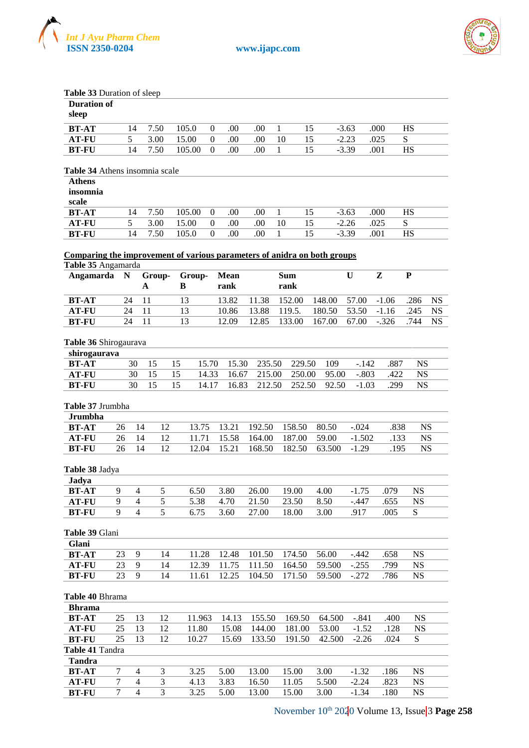



| Table 33 Duration of sleep                                                                     |                |                          |    |                |          |                |                  |                    |                 |             |              |                        |             |
|------------------------------------------------------------------------------------------------|----------------|--------------------------|----|----------------|----------|----------------|------------------|--------------------|-----------------|-------------|--------------|------------------------|-------------|
| <b>Duration of</b>                                                                             |                |                          |    |                |          |                |                  |                    |                 |             |              |                        |             |
| sleep                                                                                          |                |                          |    |                |          |                |                  |                    |                 |             |              |                        |             |
| <b>BT-AT</b>                                                                                   | 14             | 7.50                     |    | 105.0          | $\theta$ | .00            | .00              | $\mathbf{1}$<br>15 |                 | $-3.63$     | .000         | <b>HS</b>              |             |
| <b>AT-FU</b>                                                                                   | 5              | 3.00                     |    | 15.00          | $\Omega$ | .00            | .00              | 15<br>10           |                 | $-2.23$     | .025         | ${\bf S}$              |             |
| <b>BT-FU</b>                                                                                   | 14             | 7.50                     |    | 105.00         | $\Omega$ | .00            | .00              | 15<br>1            |                 | $-3.39$     | .001         | <b>HS</b>              |             |
|                                                                                                |                |                          |    |                |          |                |                  |                    |                 |             |              |                        |             |
| Table 34 Athens insomnia scale                                                                 |                |                          |    |                |          |                |                  |                    |                 |             |              |                        |             |
| <b>Athens</b>                                                                                  |                |                          |    |                |          |                |                  |                    |                 |             |              |                        |             |
| insomnia                                                                                       |                |                          |    |                |          |                |                  |                    |                 |             |              |                        |             |
| scale                                                                                          |                |                          |    |                |          |                |                  |                    |                 |             |              |                        |             |
| <b>BT-AT</b>                                                                                   | 14             | 7.50                     |    | 105.00         | $\theta$ | .00            | .00              | $\mathbf{1}$<br>15 |                 | $-3.63$     | .000         | <b>HS</b>              |             |
| <b>AT-FU</b>                                                                                   | $\overline{5}$ | 3.00                     |    | 15.00          | $\Omega$ | .00            | .00              | 15<br>10           |                 | $-2.26$     | .025         | S                      |             |
| <b>BT-FU</b>                                                                                   | 14             | 7.50                     |    | 105.0          | $\Omega$ | .00            | .00              | 15<br>1            |                 | $-3.39$     | .001         | <b>HS</b>              |             |
|                                                                                                |                |                          |    |                |          |                |                  |                    |                 |             |              |                        |             |
| Comparing the improvement of various parameters of anidra on both groups<br>Table 35 Angamarda |                |                          |    |                |          |                |                  |                    |                 |             |              |                        |             |
| Angamarda                                                                                      | $\mathbf N$    | Group-                   |    | Group-         |          | <b>Mean</b>    |                  | <b>Sum</b>         |                 | $\mathbf U$ | Z            | ${\bf P}$              |             |
|                                                                                                |                | A                        |    | B              |          | rank           |                  | rank               |                 |             |              |                        |             |
| <b>BT-AT</b>                                                                                   | 24             | 11                       |    | 13             |          | 13.82          | 11.38            | 152.00             | 148.00          | 57.00       | $-1.06$      | .286                   | <b>NS</b>   |
| <b>AT-FU</b>                                                                                   | 24             | 11                       |    | 13             |          | 10.86          | 13.88            | 119.5.             | 180.50          | 53.50       | $-1.16$      | .245                   | $_{\rm NS}$ |
| <b>BT-FU</b>                                                                                   | 24             | 11                       |    | 13             |          | 12.09          | 12.85            | 133.00             | 167.00          | 67.00       | $-.326$      | .744                   | <b>NS</b>   |
|                                                                                                |                |                          |    |                |          |                |                  |                    |                 |             |              |                        |             |
| Table 36 Shirogaurava                                                                          |                |                          |    |                |          |                |                  |                    |                 |             |              |                        |             |
| shirogaurava                                                                                   |                |                          |    |                |          |                |                  |                    |                 |             |              |                        |             |
| <b>BT-AT</b>                                                                                   | 30             | 15                       | 15 |                | 15.70    | 15.30          | 235.50           | 229.50             | 109             | $-.142$     | .887         | <b>NS</b>              |             |
| <b>AT-FU</b>                                                                                   | 30             | 15                       | 15 |                | 14.33    | 16.67          | 215.00           | 250.00             | 95.00           | $-.803$     | .422         | <b>NS</b>              |             |
| <b>BT-FU</b>                                                                                   | 30             | 15                       | 15 |                | 14.17    | 16.83          | 212.50           | 252.50             | 92.50           | $-1.03$     | .299         | <b>NS</b>              |             |
|                                                                                                |                |                          |    |                |          |                |                  |                    |                 |             |              |                        |             |
| Table 37 Jrumbha                                                                               |                |                          |    |                |          |                |                  |                    |                 |             |              |                        |             |
| <b>Jrumbha</b>                                                                                 |                |                          |    |                |          |                |                  |                    |                 |             |              |                        |             |
| <b>BT-AT</b>                                                                                   | 26             | 14                       | 12 | 13.75          |          | 13.21          | 192.50           | 158.50             | 80.50           | $-.024$     | .838         |                        | <b>NS</b>   |
| <b>AT-FU</b>                                                                                   | 26             | 14                       | 12 | 11.71          |          | 15.58          | 164.00           | 187.00             | 59.00           | $-1.502$    | .133         |                        | <b>NS</b>   |
| <b>BT-FU</b>                                                                                   | 26             | 14                       | 12 | 12.04          |          | 15.21          | 168.50           | 182.50             | 63.500          | $-1.29$     | .195         |                        | <b>NS</b>   |
|                                                                                                |                |                          |    |                |          |                |                  |                    |                 |             |              |                        |             |
| Table 38 Jadya                                                                                 |                |                          |    |                |          |                |                  |                    |                 |             |              |                        |             |
| Jadya                                                                                          |                |                          |    |                |          |                |                  |                    |                 |             |              |                        |             |
| <b>BT-AT</b>                                                                                   | 9              | 4                        | 5  | 6.50           |          | 3.80           | 26.00            | 19.00              | 4.00            | $-1.75$     | .079         | <b>NS</b>              |             |
| <b>AT-FU</b>                                                                                   | 9              | $\overline{\mathcal{A}}$ | 5  | 5.38           |          | 4.70           | 21.50            | 23.50              | 8.50            | $-.447$     | .655         | <b>NS</b>              |             |
| <b>BT-FU</b>                                                                                   | 9              | $\overline{4}$           | 5  | 6.75           |          | 3.60           | 27.00            | 18.00              | 3.00            | .917        | .005         | S                      |             |
|                                                                                                |                |                          |    |                |          |                |                  |                    |                 |             |              |                        |             |
| Table 39 Glani<br>Glani                                                                        |                |                          |    |                |          |                |                  |                    |                 |             |              |                        |             |
| <b>BT-AT</b>                                                                                   |                | 9                        | 14 |                |          |                |                  |                    |                 |             |              | <b>NS</b>              |             |
| <b>AT-FU</b>                                                                                   | 23<br>23       | 9                        | 14 | 11.28          |          | 12.48          | 101.50<br>111.50 | 174.50             | 56.00<br>59.500 | $-.442$     | .658<br>.799 |                        |             |
| <b>BT-FU</b>                                                                                   | 23             | 9                        | 14 | 12.39<br>11.61 |          | 11.75<br>12.25 |                  | 164.50             | 59.500          | $-.255$     | .786         | <b>NS</b><br><b>NS</b> |             |
|                                                                                                |                |                          |    |                |          |                | 104.50           | 171.50             |                 | $-.272$     |              |                        |             |
| Table 40 Bhrama                                                                                |                |                          |    |                |          |                |                  |                    |                 |             |              |                        |             |
| <b>Bhrama</b>                                                                                  |                |                          |    |                |          |                |                  |                    |                 |             |              |                        |             |
| <b>BT-AT</b>                                                                                   | 25             | 13                       | 12 | 11.963         |          | 14.13          | 155.50           | 169.50             | 64.500          | $-.841$     | .400         | <b>NS</b>              |             |
| <b>AT-FU</b>                                                                                   | 25             | 13                       | 12 | 11.80          |          | 15.08          | 144.00           | 181.00             | 53.00           | $-1.52$     | .128         | <b>NS</b>              |             |
| <b>BT-FU</b>                                                                                   | 25             | 13                       | 12 | 10.27          |          | 15.69          | 133.50           | 191.50             | 42.500          | $-2.26$     | .024         | S                      |             |
| Table 41 Tandra                                                                                |                |                          |    |                |          |                |                  |                    |                 |             |              |                        |             |
| <b>Tandra</b>                                                                                  |                |                          |    |                |          |                |                  |                    |                 |             |              |                        |             |
| <b>BT-AT</b>                                                                                   | $\tau$         | 3<br>$\overline{4}$      |    | 3.25           |          | 5.00           | 13.00            | 15.00              | 3.00            | $-1.32$     | .186         | <b>NS</b>              |             |
| AT-FU                                                                                          | $\tau$         | $\overline{4}$           | 3  | 4.13           |          | 3.83           | 16.50            | 11.05              | 5.500           | $-2.24$     | .823         | <b>NS</b>              |             |

**BT-FU** 7 4 3 3.25 5.00 13.00 15.00 3.00 -1.34 .180 NS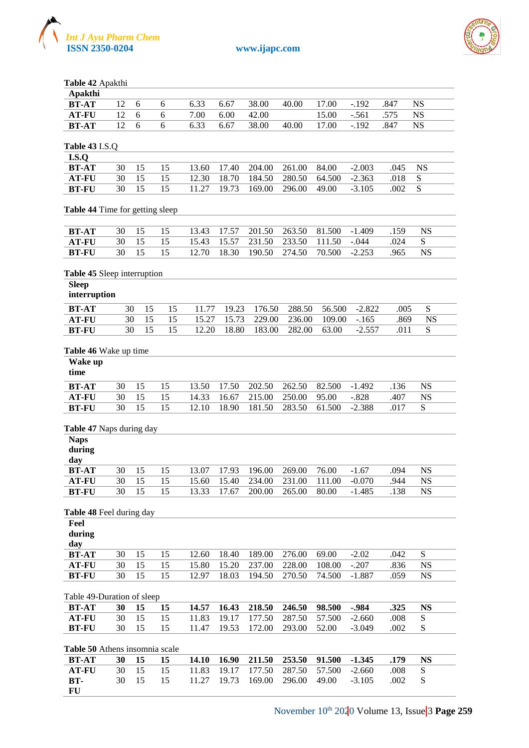



**Table 42** Apakthi

| Apakthi      |      |      |        |      |      |                 |       |       |             |      |           |  |
|--------------|------|------|--------|------|------|-----------------|-------|-------|-------------|------|-----------|--|
| BT-AT        | 12 6 |      | 6      | 6.33 | 6.67 | 38.00           | 40.00 | 17.00 | $-192$      | .847 | <b>NS</b> |  |
| <b>AT-FU</b> |      |      | 12 6 6 |      |      | 7.00 6.00 42.00 |       | 15.00 | -.561 .575  |      | - NS      |  |
| BT-AT        |      | 12 6 | 6      | 6.33 | 6.67 | 38.00           | 40.00 |       | 17.00 - 192 | .847 | NS        |  |
|              |      |      |        |      |      |                 |       |       |             |      |           |  |

| <b>Table 43 I.S.Q</b> |  |
|-----------------------|--|
| 1 S O                 |  |

| <b>BT-AT</b> | 30 15 15 |          |  | 13.60 17.40 204.00 261.00 84.00 | $-2.003$                                       | (145)    |  |
|--------------|----------|----------|--|---------------------------------|------------------------------------------------|----------|--|
| AT-FU        |          | 30 15 15 |  |                                 | 12.30 18.70 184.50 280.50 64.500 -2.363 .018 S |          |  |
| BT-FU        |          | 30 15 15 |  |                                 | 11.27 19.73 169.00 296.00 49.00 -3.105         | $-002-S$ |  |

#### **Table 44** Time for getting sleep

| BT-AT |  | 30 15 15 |                                                 |  | 13.43 17.57 201.50 263.50 81.500 -1.409 |  |         | NS. |  |
|-------|--|----------|-------------------------------------------------|--|-----------------------------------------|--|---------|-----|--|
| AT-FU |  |          | 30 15 15 15.43 15.57 231.50 233.50 111.50 -.044 |  |                                         |  | 024     |     |  |
| BT-FU |  | 30 15 15 | 12.70 18.30 190.50 274.50 70.500 -2.253         |  |                                         |  | - 965 - | NS. |  |

#### **Table 45** Sleep interruption

| interruption |  |
|--------------|--|
|              |  |

| <b>BT-AT</b> |  | $30 \quad 15 \quad 15$ |  | 11.77 19.23 176.50 288.50 56.500 -2.822 |  |          | (10)5 |     |  |
|--------------|--|------------------------|--|-----------------------------------------|--|----------|-------|-----|--|
| <b>AT-FU</b> |  | 30 15 15               |  | 15.27 15.73 229.00 236.00 109.00 -.165  |  |          | 869   | NS. |  |
| <b>BT-FU</b> |  | 30 15 15               |  | 12.20 18.80 183.00 282.00 63.00         |  | $-2.557$ | 011   |     |  |
|              |  |                        |  |                                         |  |          |       |     |  |

#### **Table 46** Wake up time

| Wake up<br>time |    |    |    |       |       |        |        |        |          |      |    |  |
|-----------------|----|----|----|-------|-------|--------|--------|--------|----------|------|----|--|
| <b>BT-AT</b>    | 30 | 15 | 15 | 13.50 | 17.50 | 202.50 | 262.50 | 82.500 | $-1.492$ | .136 | NS |  |
| <b>AT-FU</b>    | 30 | 15 | 15 | 14.33 | 16.67 | 215.00 | 250.00 | 95.00  | $-.828$  | .407 | NS |  |
| <b>BT-FU</b>    | 30 | 15 | 15 | 12.10 | 18.90 | 181.50 | 283.50 | 61.500 | $-2.388$ | .017 |    |  |
|                 |    |    |    |       |       |        |        |        |          |      |    |  |

#### **Table 47** Naps during day

| <b>Naps</b><br>during<br>day |    | --- |    |       |           |        |        |        |          |      |    |  |
|------------------------------|----|-----|----|-------|-----------|--------|--------|--------|----------|------|----|--|
| <b>BT-AT</b>                 | 30 |     | 15 | 13.07 | 17.93     | 196.00 | 269.00 | 76.00  | $-1.67$  | .094 | NS |  |
| <b>AT-FU</b>                 | 30 | 15  | 15 | 15.60 | 15.40     | 234.00 | 231.00 | 111.00 | $-0.070$ | 944. | NS |  |
| <b>BT-FU</b>                 | 30 | 15  | 15 | 13.33 | 17<br>.67 | 200.00 | 265.00 | 80.00  | $-1.485$ | .138 | NS |  |
|                              |    |     |    |       |           |        |        |        |          |      |    |  |

#### **Table 48** Feel during day

| Feel<br>during |    |    |    |       |       |        |        |        |         |      |    |  |
|----------------|----|----|----|-------|-------|--------|--------|--------|---------|------|----|--|
| day            |    |    |    |       |       |        |        |        |         |      |    |  |
| <b>BT-AT</b>   | 30 | 15 |    | 12.60 | 18.40 | 189.00 | 276.00 | 69.00  | $-2.02$ | .042 |    |  |
| <b>AT-FU</b>   | 30 | 15 | 15 | 15.80 | 15.20 | 237.00 | 228.00 | 108.00 | $-.207$ | .836 | NS |  |
| <b>BT-FU</b>   | 30 |    | 15 | 12.97 | 18.03 | 194.50 | 270.50 | 74.500 | -1.887  | .059 | NS |  |

#### Table 49-Duration of sleep

| BT-AT                                                                |  | 30 15 15 14.57 16.43 218.50 246.50 98.500 -.984 |  |  | .325 | <b>NS</b> |
|----------------------------------------------------------------------|--|-------------------------------------------------|--|--|------|-----------|
| <b>AT-FU</b> 30 15 15 11.83 19.17 177.50 287.50 57.500 -2.660 .008 S |  |                                                 |  |  |      |           |
| <b>BT-FU</b> 30 15 15 11.47 19.53 172.00 293.00 52.00 -3.049 .002 S  |  |                                                 |  |  |      |           |
|                                                                      |  |                                                 |  |  |      |           |

## **Table 50** Athens insomnia scale

| BT-AT |  |  |  |  | 30 15 15 14.10 16.90 211.50 253.50 91.500 -1.345 .179   |        |  |
|-------|--|--|--|--|---------------------------------------------------------|--------|--|
| AT-FU |  |  |  |  | 30 15 15 11.83 19.17 177.50 287.50 57.500 -2.660 .008 S |        |  |
| RT-   |  |  |  |  | 30 15 15 11.27 19.73 169.00 296.00 49.00 -3.105         | $-002$ |  |
| - FU  |  |  |  |  |                                                         |        |  |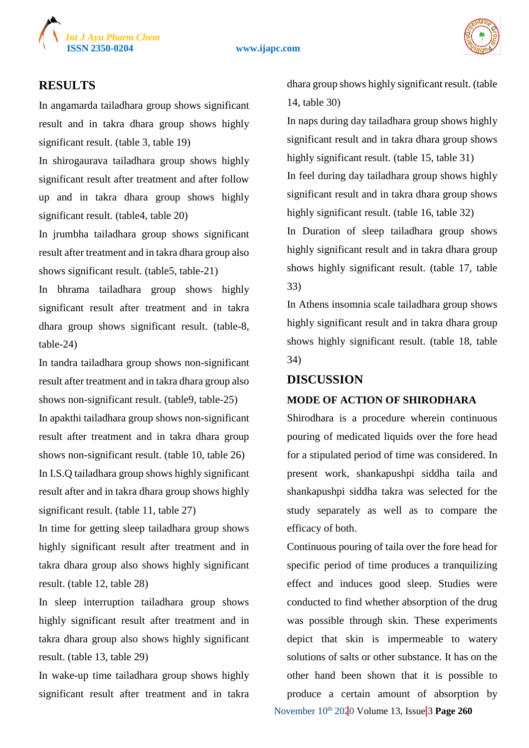

## **ISSN 2350-0204 www.ijapc.com**



## **RESULTS**

In angamarda tailadhara group shows significant result and in takra dhara group shows highly significant result. (table 3, table 19)

In shirogaurava tailadhara group shows highly significant result after treatment and after follow up and in takra dhara group shows highly significant result. (table4, table 20)

In jrumbha tailadhara group shows significant result after treatment and in takra dhara group also shows significant result. (table5, table-21)

In bhrama tailadhara group shows highly significant result after treatment and in takra dhara group shows significant result. (table-8, table-24)

In tandra tailadhara group shows non-significant result after treatment and in takra dhara group also shows non-significant result. (table9, table-25)

In apakthi tailadhara group shows non-significant result after treatment and in takra dhara group shows non-significant result. (table 10, table 26) In I.S.Q tailadhara group shows highly significant result after and in takra dhara group shows highly significant result. (table 11, table 27)

In time for getting sleep tailadhara group shows highly significant result after treatment and in takra dhara group also shows highly significant result. (table 12, table 28)

In sleep interruption tailadhara group shows highly significant result after treatment and in takra dhara group also shows highly significant result. (table 13, table 29)

In wake-up time tailadhara group shows highly significant result after treatment and in takra

dhara group shows highly significant result. (table 14, table 30)

In naps during day tailadhara group shows highly significant result and in takra dhara group shows highly significant result. (table 15, table 31)

In feel during day tailadhara group shows highly significant result and in takra dhara group shows highly significant result. (table 16, table 32)

In Duration of sleep tailadhara group shows highly significant result and in takra dhara group shows highly significant result. (table 17, table 33)

In Athens insomnia scale tailadhara group shows highly significant result and in takra dhara group shows highly significant result. (table 18, table 34)

### **DISCUSSION**

## **MODE OF ACTION OF SHIRODHARA**

Shirodhara is a procedure wherein continuous pouring of medicated liquids over the fore head for a stipulated period of time was considered. In present work, shankapushpi siddha taila and shankapushpi siddha takra was selected for the study separately as well as to compare the efficacy of both.

November 10<sup>th</sup> 2020 Volume 13, Issue 3 Page 260 Continuous pouring of taila over the fore head for specific period of time produces a tranquilizing effect and induces good sleep. Studies were conducted to find whether absorption of the drug was possible through skin. These experiments depict that skin is impermeable to watery solutions of salts or other substance. It has on the other hand been shown that it is possible to produce a certain amount of absorption by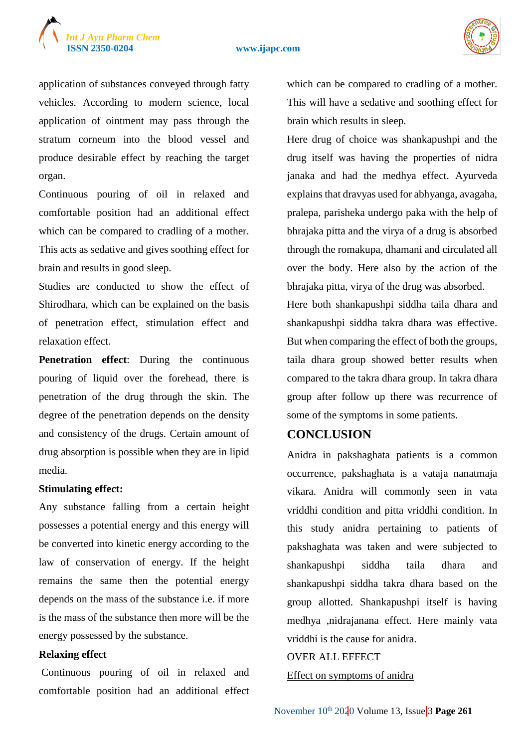

#### **ISSN 2350-0204 www.ijapc.com**



application of substances conveyed through fatty vehicles. According to modern science, local application of ointment may pass through the stratum corneum into the blood vessel and produce desirable effect by reaching the target organ.

Continuous pouring of oil in relaxed and comfortable position had an additional effect which can be compared to cradling of a mother. This acts as sedative and gives soothing effect for brain and results in good sleep.

Studies are conducted to show the effect of Shirodhara, which can be explained on the basis of penetration effect, stimulation effect and relaxation effect.

**Penetration effect**: During the continuous pouring of liquid over the forehead, there is penetration of the drug through the skin. The degree of the penetration depends on the density and consistency of the drugs. Certain amount of drug absorption is possible when they are in lipid media.

### **Stimulating effect:**

Any substance falling from a certain height possesses a potential energy and this energy will be converted into kinetic energy according to the law of conservation of energy. If the height remains the same then the potential energy depends on the mass of the substance i.e. if more is the mass of the substance then more will be the energy possessed by the substance.

#### **Relaxing effect**

Continuous pouring of oil in relaxed and comfortable position had an additional effect which can be compared to cradling of a mother. This will have a sedative and soothing effect for brain which results in sleep.

Here drug of choice was shankapushpi and the drug itself was having the properties of nidra janaka and had the medhya effect. Ayurveda explains that dravyas used for abhyanga, avagaha, pralepa, parisheka undergo paka with the help of bhrajaka pitta and the virya of a drug is absorbed through the romakupa, dhamani and circulated all over the body. Here also by the action of the bhrajaka pitta, virya of the drug was absorbed.

Here both shankapushpi siddha taila dhara and shankapushpi siddha takra dhara was effective. But when comparing the effect of both the groups, taila dhara group showed better results when compared to the takra dhara group. In takra dhara group after follow up there was recurrence of some of the symptoms in some patients.

## **CONCLUSION**

Anidra in pakshaghata patients is a common occurrence, pakshaghata is a vataja nanatmaja vikara. Anidra will commonly seen in vata vriddhi condition and pitta vriddhi condition. In this study anidra pertaining to patients of pakshaghata was taken and were subjected to shankapushpi siddha taila dhara and shankapushpi siddha takra dhara based on the group allotted. Shankapushpi itself is having medhya ,nidrajanana effect. Here mainly vata vriddhi is the cause for anidra.

## OVER ALL EFFECT

Effect on symptoms of anidra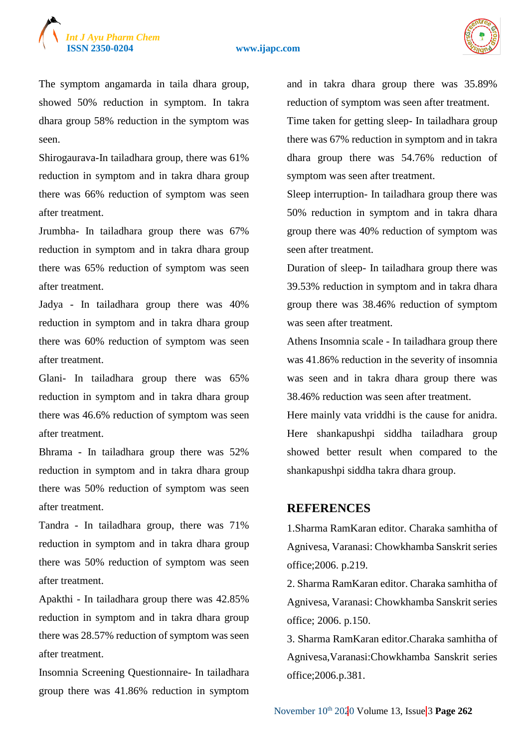## *Int J Ayu Pharm Chem*

#### **ISSN 2350-0204 www.ijapc.com**



The symptom angamarda in taila dhara group, showed 50% reduction in symptom. In takra dhara group 58% reduction in the symptom was seen.

Shirogaurava-In tailadhara group, there was 61% reduction in symptom and in takra dhara group there was 66% reduction of symptom was seen after treatment.

Jrumbha- In tailadhara group there was 67% reduction in symptom and in takra dhara group there was 65% reduction of symptom was seen after treatment.

Jadya - In tailadhara group there was 40% reduction in symptom and in takra dhara group there was 60% reduction of symptom was seen after treatment.

Glani- In tailadhara group there was 65% reduction in symptom and in takra dhara group there was 46.6% reduction of symptom was seen after treatment.

Bhrama - In tailadhara group there was 52% reduction in symptom and in takra dhara group there was 50% reduction of symptom was seen after treatment.

Tandra - In tailadhara group, there was 71% reduction in symptom and in takra dhara group there was 50% reduction of symptom was seen after treatment.

Apakthi - In tailadhara group there was 42.85% reduction in symptom and in takra dhara group there was 28.57% reduction of symptom was seen after treatment.

Insomnia Screening Questionnaire- In tailadhara group there was 41.86% reduction in symptom and in takra dhara group there was 35.89% reduction of symptom was seen after treatment.

Time taken for getting sleep- In tailadhara group there was 67% reduction in symptom and in takra dhara group there was 54.76% reduction of symptom was seen after treatment.

Sleep interruption- In tailadhara group there was 50% reduction in symptom and in takra dhara group there was 40% reduction of symptom was seen after treatment.

Duration of sleep- In tailadhara group there was 39.53% reduction in symptom and in takra dhara group there was 38.46% reduction of symptom was seen after treatment.

Athens Insomnia scale - In tailadhara group there was 41.86% reduction in the severity of insomnia was seen and in takra dhara group there was 38.46% reduction was seen after treatment.

Here mainly vata vriddhi is the cause for anidra. Here shankapushpi siddha tailadhara group showed better result when compared to the shankapushpi siddha takra dhara group.

## **REFERENCES**

1.Sharma RamKaran editor. Charaka samhitha of Agnivesa, Varanasi: Chowkhamba Sanskrit series office;2006. p.219.

2. Sharma RamKaran editor. Charaka samhitha of Agnivesa, Varanasi: Chowkhamba Sanskrit series office; 2006. p.150.

3. Sharma RamKaran editor.Charaka samhitha of Agnivesa,Varanasi:Chowkhamba Sanskrit series office;2006.p.381.

November 10<sup>th</sup> 2020 Volume 13, Issue 3 Page 262